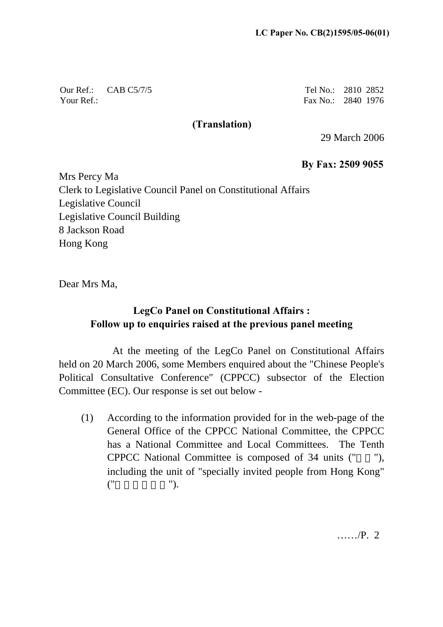Our Ref.: CAB C5/7/5 Your Ref.:

Tel No.: 2810 2852 Fax No.: 2840 1976

## **(Translation)**

29 March 2006

**By Fax: 2509 9055**

Mrs Percy Ma Clerk to Legislative Council Panel on Constitutional Affairs Legislative Council Legislative Council Building 8 Jackson Road Hong Kong

Dear Mrs Ma,

## **LegCo Panel on Constitutional Affairs : Follow up to enquiries raised at the previous panel meeting**

At the meeting of the LegCo Panel on Constitutional Affairs held on 20 March 2006, some Members enquired about the "Chinese People's Political Consultative Conference" (CPPCC) subsector of the Election Committee (EC). Our response is set out below -

(1) According to the information provided for in the web-page of the General Office of the CPPCC National Committee, the CPPCC has a National Committee and Local Committees. The Tenth CPPCC National Committee is composed of 34 units (""), including the unit of "specially invited people from Hong Kong"  $\binom{n}{k}$ 

……/P. 2